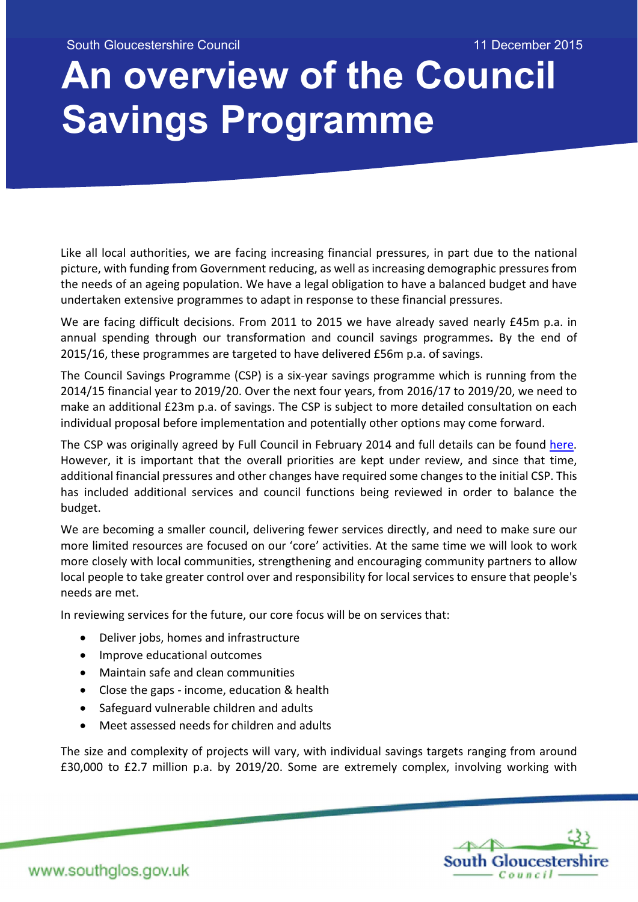South Gloucestershire Council 11 December 2015

# An overview of the Council Savings Programme

Like all local authorities, we are facing increasing financial pressures, in part due to the national picture, with funding from Government reducing, as well as increasing demographic pressures from the needs of an ageing population. We have a legal obligation to have a balanced budget and have undertaken extensive programmes to adapt in response to these financial pressures.

We are facing difficult decisions. From 2011 to 2015 we have already saved nearly £45m p.a. in annual spending through our transformation and council savings programmes. By the end of 2015/16, these programmes are targeted to have delivered £56m p.a. of savings.

The Council Savings Programme (CSP) is a six-year savings programme which is running from the 2014/15 financial year to 2019/20. Over the next four years, from 2016/17 to 2019/20, we need to make an additional £23m p.a. of savings. The CSP is subject to more detailed consultation on each individual proposal before implementation and potentially other options may come forward.

The CSP was originally agreed by Full Council in February 2014 and full details can be found here. However, it is important that the overall priorities are kept under review, and since that time, additional financial pressures and other changes have required some changes to the initial CSP. This has included additional services and council functions being reviewed in order to balance the budget.

We are becoming a smaller council, delivering fewer services directly, and need to make sure our more limited resources are focused on our 'core' activities. At the same time we will look to work more closely with local communities, strengthening and encouraging community partners to allow local people to take greater control over and responsibility for local services to ensure that people's needs are met.

In reviewing services for the future, our core focus will be on services that:

- Deliver jobs, homes and infrastructure
- Improve educational outcomes
- Maintain safe and clean communities
- Close the gaps income, education & health
- Safeguard vulnerable children and adults
- Meet assessed needs for children and adults

The size and complexity of projects will vary, with individual savings targets ranging from around £30,000 to £2.7 million p.a. by 2019/20. Some are extremely complex, involving working with

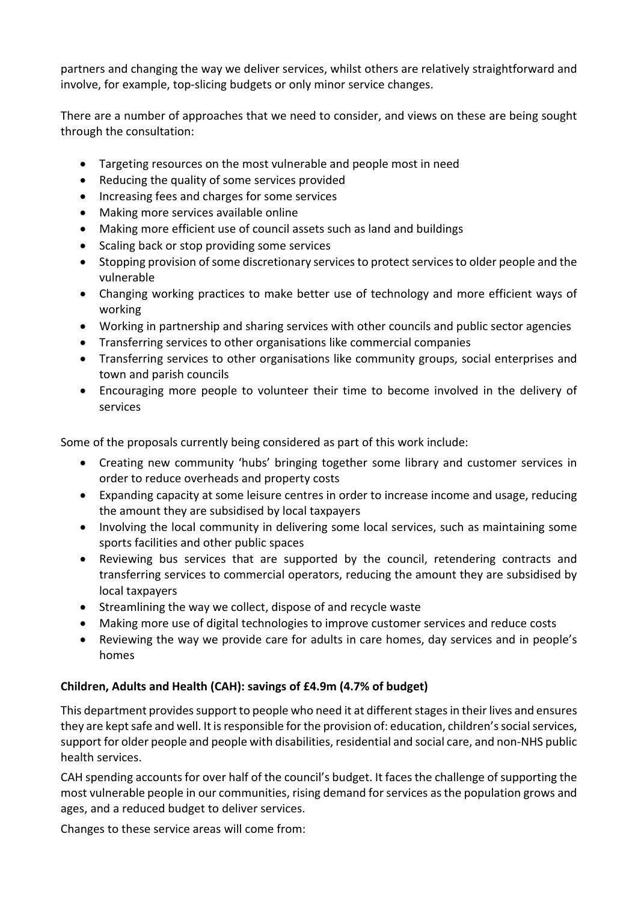partners and changing the way we deliver services, whilst others are relatively straightforward and involve, for example, top-slicing budgets or only minor service changes.

There are a number of approaches that we need to consider, and views on these are being sought through the consultation:

- Targeting resources on the most vulnerable and people most in need
- Reducing the quality of some services provided
- Increasing fees and charges for some services
- Making more services available online
- Making more efficient use of council assets such as land and buildings
- Scaling back or stop providing some services
- Stopping provision of some discretionary services to protect services to older people and the vulnerable
- Changing working practices to make better use of technology and more efficient ways of working
- Working in partnership and sharing services with other councils and public sector agencies
- Transferring services to other organisations like commercial companies
- Transferring services to other organisations like community groups, social enterprises and town and parish councils
- Encouraging more people to volunteer their time to become involved in the delivery of services

Some of the proposals currently being considered as part of this work include:

- Creating new community 'hubs' bringing together some library and customer services in order to reduce overheads and property costs
- Expanding capacity at some leisure centres in order to increase income and usage, reducing the amount they are subsidised by local taxpayers
- Involving the local community in delivering some local services, such as maintaining some sports facilities and other public spaces
- Reviewing bus services that are supported by the council, retendering contracts and transferring services to commercial operators, reducing the amount they are subsidised by local taxpayers
- Streamlining the way we collect, dispose of and recycle waste
- Making more use of digital technologies to improve customer services and reduce costs
- Reviewing the way we provide care for adults in care homes, day services and in people's homes

## Children, Adults and Health (CAH): savings of £4.9m (4.7% of budget)

This department provides support to people who need it at different stages in their lives and ensures they are kept safe and well. It is responsible for the provision of: education, children's social services, support for older people and people with disabilities, residential and social care, and non-NHS public health services.

CAH spending accounts for over half of the council's budget. It faces the challenge of supporting the most vulnerable people in our communities, rising demand for services as the population grows and ages, and a reduced budget to deliver services.

Changes to these service areas will come from: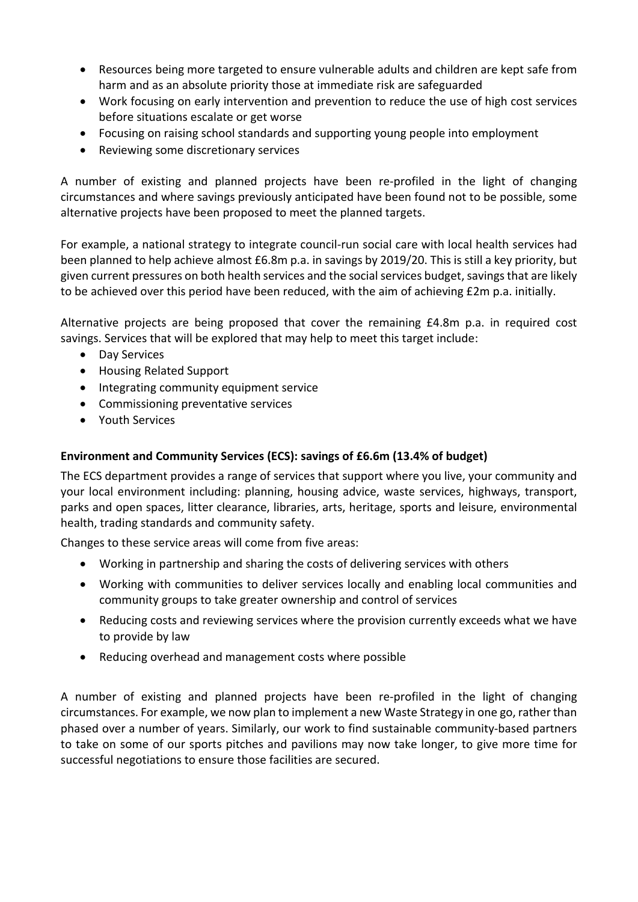- Resources being more targeted to ensure vulnerable adults and children are kept safe from harm and as an absolute priority those at immediate risk are safeguarded
- Work focusing on early intervention and prevention to reduce the use of high cost services before situations escalate or get worse
- Focusing on raising school standards and supporting young people into employment
- Reviewing some discretionary services

A number of existing and planned projects have been re-profiled in the light of changing circumstances and where savings previously anticipated have been found not to be possible, some alternative projects have been proposed to meet the planned targets.

For example, a national strategy to integrate council-run social care with local health services had been planned to help achieve almost £6.8m p.a. in savings by 2019/20. This is still a key priority, but given current pressures on both health services and the social services budget, savings that are likely to be achieved over this period have been reduced, with the aim of achieving £2m p.a. initially.

Alternative projects are being proposed that cover the remaining £4.8m p.a. in required cost savings. Services that will be explored that may help to meet this target include:

- Day Services
- Housing Related Support
- Integrating community equipment service
- Commissioning preventative services
- Youth Services

# Environment and Community Services (ECS): savings of £6.6m (13.4% of budget)

The ECS department provides a range of services that support where you live, your community and your local environment including: planning, housing advice, waste services, highways, transport, parks and open spaces, litter clearance, libraries, arts, heritage, sports and leisure, environmental health, trading standards and community safety.

Changes to these service areas will come from five areas:

- Working in partnership and sharing the costs of delivering services with others
- Working with communities to deliver services locally and enabling local communities and community groups to take greater ownership and control of services
- Reducing costs and reviewing services where the provision currently exceeds what we have to provide by law
- Reducing overhead and management costs where possible

A number of existing and planned projects have been re-profiled in the light of changing circumstances. For example, we now plan to implement a new Waste Strategy in one go, rather than phased over a number of years. Similarly, our work to find sustainable community-based partners to take on some of our sports pitches and pavilions may now take longer, to give more time for successful negotiations to ensure those facilities are secured.